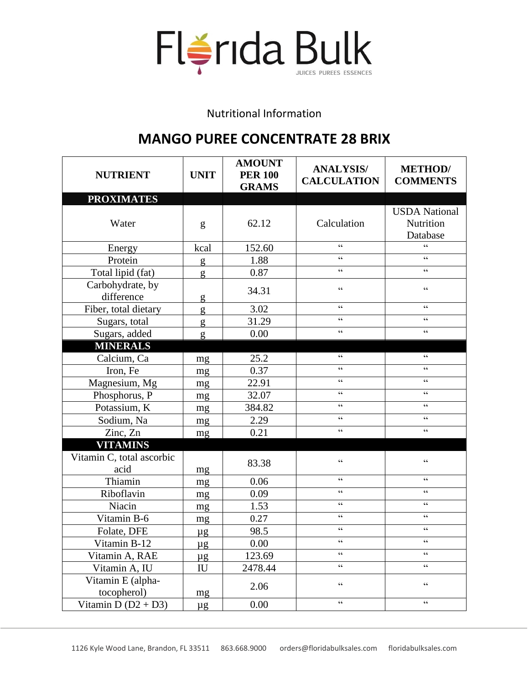

Nutritional Information

## **MANGO PUREE CONCENTRATE 28 BRIX**

| <b>NUTRIENT</b>                   | <b>UNIT</b>                | <b>AMOUNT</b><br><b>PER 100</b><br><b>GRAMS</b> | <b>ANALYSIS/</b><br><b>CALCULATION</b>             | <b>METHOD</b> /<br><b>COMMENTS</b>                 |
|-----------------------------------|----------------------------|-------------------------------------------------|----------------------------------------------------|----------------------------------------------------|
| <b>PROXIMATES</b>                 |                            |                                                 |                                                    |                                                    |
| Water                             | g                          | 62.12                                           | Calculation                                        | <b>USDA</b> National<br>Nutrition<br>Database      |
| Energy                            | kcal                       | 152.60                                          | $\boldsymbol{\varsigma}$ $\boldsymbol{\varsigma}$  | $\epsilon$                                         |
| Protein                           | g                          | 1.88                                            | $\epsilon$                                         | $\epsilon$                                         |
| Total lipid (fat)                 | g                          | 0.87                                            | $\epsilon$                                         | $\epsilon$                                         |
| Carbohydrate, by<br>difference    | g                          | 34.31                                           | $\zeta \zeta$                                      | $\epsilon$                                         |
| Fiber, total dietary              | g                          | 3.02                                            | $\zeta$ $\zeta$                                    | $\zeta$ $\zeta$                                    |
| Sugars, total                     | g                          | 31.29                                           | $\zeta$ $\zeta$                                    | $\zeta \zeta$                                      |
| Sugars, added                     | g                          | 0.00                                            | $\zeta$ $\zeta$                                    | $\zeta$ $\zeta$                                    |
| <b>MINERALS</b>                   |                            |                                                 |                                                    |                                                    |
| Calcium, Ca                       | mg                         | 25.2                                            | $\zeta$ $\zeta$                                    | $\zeta$ $\zeta$                                    |
| Iron, Fe                          | mg                         | 0.37                                            | $\boldsymbol{\varsigma}$ $\boldsymbol{\varsigma}$  | $\zeta \zeta$                                      |
| Magnesium, Mg                     | mg                         | 22.91                                           | $\zeta\,\zeta$                                     | $\zeta \zeta$                                      |
| Phosphorus, P                     | mg                         | 32.07                                           | $\zeta \zeta$                                      | $\epsilon$                                         |
| Potassium, K                      | mg                         | 384.82                                          | $\zeta \zeta$                                      | $\zeta \zeta$                                      |
| Sodium, Na                        | mg                         | 2.29                                            | $\epsilon$                                         | $\epsilon$                                         |
| Zinc, Zn                          | mg                         | 0.21                                            | $\zeta \zeta$                                      | $\zeta$ $\zeta$                                    |
| <b>VITAMINS</b>                   |                            |                                                 |                                                    |                                                    |
| Vitamin C, total ascorbic<br>acid | mg                         | 83.38                                           | $\boldsymbol{\varsigma}$ $\boldsymbol{\varsigma}$  | $\zeta \zeta$                                      |
| Thiamin                           | mg                         | 0.06                                            | $\zeta$ $\zeta$                                    | $\epsilon$                                         |
| Riboflavin                        | mg                         | 0.09                                            | $\zeta \zeta$                                      | $\epsilon$                                         |
| Niacin                            | mg                         | 1.53                                            | $\zeta \zeta$                                      | $\zeta \zeta$                                      |
| Vitamin B-6                       | mg                         | 0.27                                            | $\boldsymbol{\zeta} \, \boldsymbol{\zeta}$         | $\boldsymbol{\varsigma}$ $\boldsymbol{\varsigma}$  |
| Folate, DFE                       | $\mu$ g                    | 98.5                                            | $\boldsymbol{\zeta} \, \boldsymbol{\zeta}$         | $\boldsymbol{\zeta} \, \boldsymbol{\zeta}$         |
| Vitamin B-12                      | $\mu$ g                    | 0.00                                            | $\boldsymbol{\varsigma} \, \boldsymbol{\varsigma}$ | $\boldsymbol{\varsigma} \, \boldsymbol{\varsigma}$ |
| Vitamin A, RAE                    | $\mu$ g                    | 123.69                                          | $\zeta \zeta$                                      | $\epsilon$                                         |
| Vitamin A, IU                     | $\mathop{\rm IU}\nolimits$ | 2478.44                                         | $\epsilon$                                         | $\boldsymbol{\varsigma}$ $\boldsymbol{\varsigma}$  |
| Vitamin E (alpha-<br>tocopherol)  | mg                         | 2.06                                            | $\boldsymbol{\zeta} \, \boldsymbol{\zeta}$         | $\zeta$ $\zeta$                                    |
| Vitamin D $(D2 + D3)$             | $\mu$ g                    | 0.00                                            | $\boldsymbol{\varsigma}$ $\boldsymbol{\varsigma}$  | $\zeta$ $\zeta$                                    |